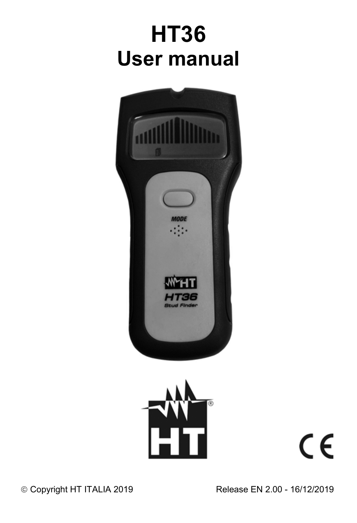# **HT36 User manual**





 $C \in$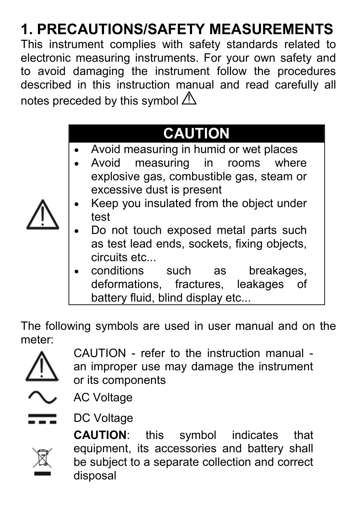# **1. PRECAUTIONS/SAFETY MEASUREMENTS**

This instrument complies with safety standards related to electronic measuring instruments. For your own safety and to avoid damaging the instrument follow the procedures described in this instruction manual and read carefully all notes preceded by this symbol  $\triangle$ 

### **CAUTION**

- Avoid measuring in humid or wet places
- Avoid measuring in rooms where explosive gas, combustible gas, steam or excessive dust is present
- Keep you insulated from the object under test
- Do not touch exposed metal parts such as test lead ends, sockets, fixing objects, circuits etc...
- conditions such as breakages, deformations, fractures, leakages of battery fluid, blind display etc...

The following symbols are used in user manual and on the meter:



CAUTION - refer to the instruction manual an improper use may damage the instrument or its components



AC Voltage

DC Voltage

**CAUTION**: this symbol indicates that equipment, its accessories and battery shall be subject to a separate collection and correct disposal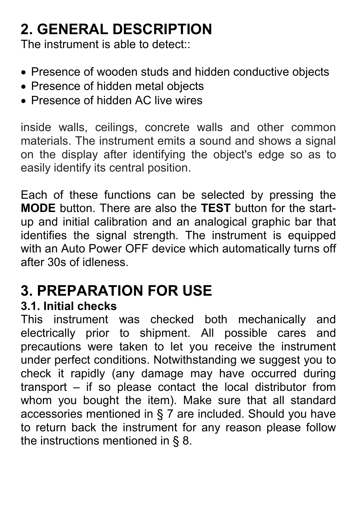### **2. GENERAL DESCRIPTION**

The instrument is able to detect:

- Presence of wooden studs and hidden conductive objects
- Presence of hidden metal objects
- Presence of hidden AC live wires

inside walls, ceilings, concrete walls and other common materials. The instrument emits a sound and shows a signal on the display after identifying the object's edge so as to easily identify its central position.

Each of these functions can be selected by pressing the **MODE** button. There are also the **TEST** button for the startup and initial calibration and an analogical graphic bar that identifies the signal strength. The instrument is equipped with an Auto Power OFF device which automatically turns off after 30s of idleness.

### **3. PREPARATION FOR USE**

#### **3.1. Initial checks**

This instrument was checked both mechanically and electrically prior to shipment. All possible cares and precautions were taken to let you receive the instrument under perfect conditions. Notwithstanding we suggest you to check it rapidly (any damage may have occurred during transport – if so please contact the local distributor from whom you bought the item). Make sure that all standard accessories mentioned in § 7 are included. Should you have to return back the instrument for any reason please follow the instructions mentioned in § 8.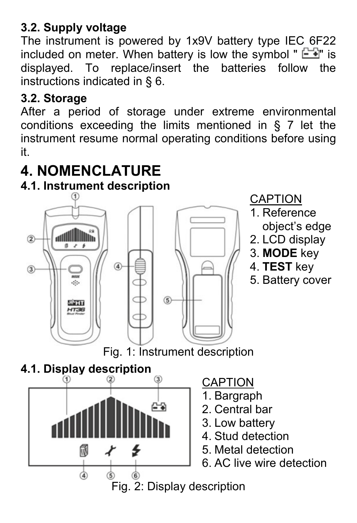#### **3.2. Supply voltage**

The instrument is powered by 1x9V battery type IEC 6F22 included on meter. When battery is low the symbol "  $\equiv$   $\equiv$  is displayed. To replace/insert the batteries follow the instructions indicated in § 6.

#### **3.2. Storage**

After a period of storage under extreme environmental conditions exceeding the limits mentioned in § 7 let the instrument resume normal operating conditions before using it.

### **4. NOMENCLATURE**

#### **4.1. Instrument description**







CAPTION

- 1. Bargraph
- 2. Central bar
- 3. Low battery
- 4. Stud detection
- 5. Metal detection
- 6. AC live wire detection

### Fig. 2: Display description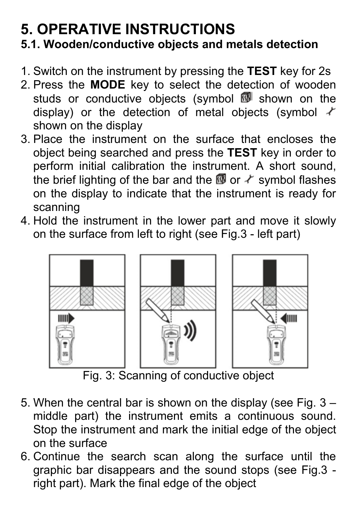#### **5. OPERATIVE INSTRUCTIONS 5.1. Wooden/conductive objects and metals detection**

- 1. Switch on the instrument by pressing the **TEST** key for 2s
- 2. Press the **MODE** key to select the detection of wooden studs or conductive objects (symbol  $\blacksquare$  shown on the display) or the detection of metal objects (symbol  $\not\sim$ shown on the display
- 3. Place the instrument on the surface that encloses the object being searched and press the **TEST** key in order to perform initial calibration the instrument. A short sound, the brief lighting of the bar and the  $\overline{w}$  or  $\overline{\mathscr{N}}$  symbol flashes on the display to indicate that the instrument is ready for scanning
- 4. Hold the instrument in the lower part and move it slowly on the surface from left to right (see Fig.3 - left part)



Fig. 3: Scanning of conductive object

- 5. When the central bar is shown on the display (see Fig. 3 middle part) the instrument emits a continuous sound. Stop the instrument and mark the initial edge of the object on the surface
- 6. Continue the search scan along the surface until the graphic bar disappears and the sound stops (see Fig.3 right part). Mark the final edge of the object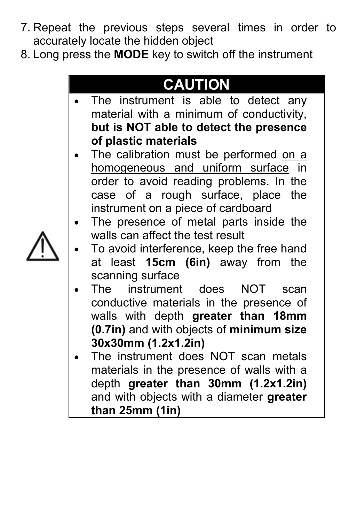- 7. Repeat the previous steps several times in order to accurately locate the hidden object
- 8. Long press the **MODE** key to switch off the instrument

### **CAUTION**

- The instrument is able to detect any material with a minimum of conductivity, **but is NOT able to detect the presence of plastic materials**
- The calibration must be performed on a homogeneous and uniform surface in order to avoid reading problems. In the case of a rough surface, place the instrument on a piece of cardboard
- The presence of metal parts inside the walls can affect the test result
- To avoid interference, keep the free hand at least **15cm (6in)** away from the scanning surface
- The instrument does NOT scan conductive materials in the presence of walls with depth **greater than 18mm (0.7in)** and with objects of **minimum size 30x30mm (1.2x1.2in)**
- The instrument does NOT scan metals materials in the presence of walls with a depth **greater than 30mm (1.2x1.2in)** and with objects with a diameter **greater than 25mm (1in)**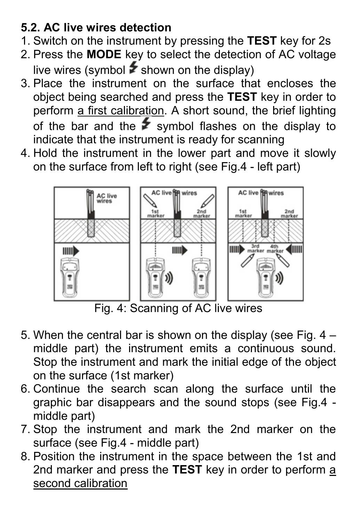#### **5.2. AC live wires detection**

- 1. Switch on the instrument by pressing the **TEST** key for 2s
- 2. Press the **MODE** key to select the detection of AC voltage live wires (symbol  $\blacktriangleright$  shown on the display)
- 3. Place the instrument on the surface that encloses the object being searched and press the **TEST** key in order to perform a first calibration. A short sound, the brief lighting of the bar and the  $\blacktriangleright$  symbol flashes on the display to indicate that the instrument is ready for scanning
- 4. Hold the instrument in the lower part and move it slowly on the surface from left to right (see Fig.4 - left part)



Fig. 4: Scanning of AC live wires

- 5. When the central bar is shown on the display (see Fig. 4 middle part) the instrument emits a continuous sound. Stop the instrument and mark the initial edge of the object on the surface (1st marker)
- 6. Continue the search scan along the surface until the graphic bar disappears and the sound stops (see Fig.4 middle part)
- 7. Stop the instrument and mark the 2nd marker on the surface (see Fig.4 - middle part)
- 8. Position the instrument in the space between the 1st and 2nd marker and press the **TEST** key in order to perform a second calibration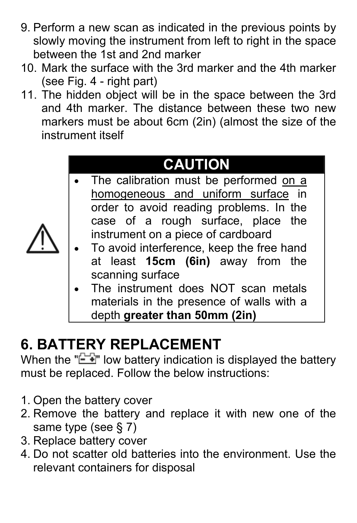- 9. Perform a new scan as indicated in the previous points by slowly moving the instrument from left to right in the space between the 1st and 2nd marker
- 10. Mark the surface with the 3rd marker and the 4th marker (see Fig. 4 - right part)
- 11. The hidden object will be in the space between the 3rd and 4th marker. The distance between these two new markers must be about 6cm (2in) (almost the size of the instrument itself

# **CAUTION**

- The calibration must be performed on a homogeneous and uniform surface in order to avoid reading problems. In the case of a rough surface, place the instrument on a piece of cardboard
- To avoid interference, keep the free hand at least **15cm (6in)** away from the scanning surface
- The instrument does NOT scan metals materials in the presence of walls with a depth **greater than 50mm (2in)**

# **6. BATTERY REPLACEMENT**

When the " $\equiv$  " low battery indication is displayed the battery must be replaced. Follow the below instructions:

- 1. Open the battery cover
- 2. Remove the battery and replace it with new one of the same type (see § 7)
- 3. Replace battery cover
- 4. Do not scatter old batteries into the environment. Use the relevant containers for disposal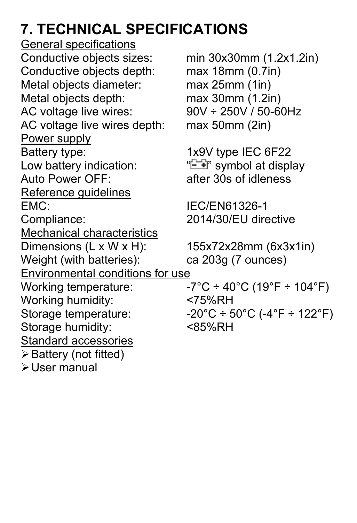# **7. TECHNICAL SPECIFICATIONS**

General specifications Conductive objects sizes: min 30x30mm (1.2x1.2in)<br>Conductive objects depth: max 18mm (0.7in) Conductive objects depth: Metal objects diameter: max 25mm (1in) Metal objects depth: max 30mm (1.2in)<br>AC voltage live wires: 90V ÷ 250V / 50-60Hz AC voltage live wires: AC voltage live wires depth: max 50mm (2in) Power supply Battery type: 1x9V type IEC 6F22<br>Low battery indication: "E if" symbol at displ Auto Power OFF: after 30s of idleness Reference guidelines EMC: IEC/EN61326-1 Compliance: 2014/30/EU directive Mechanical characteristics Dimensions (L x W x H): 155x72x28mm (6x3x1in) Weight (with batteries): ca 203g (7 ounces) Environmental conditions for use Working temperature:  $-7^{\circ}C \div 40^{\circ}C$  (19°F  $\div$  104°F) Working humidity: <75%RH<br>Storage temperature:  $-20^{\circ}C \div 5$ Storage humidity: Standard accessories Battery (not fitted) User manual

 $"$  $\equiv$   $\rightarrow$ " symbol at display

 $-20^{\circ}$ C ÷ 50°C (-4°F ÷ 122°F)<br><85%RH